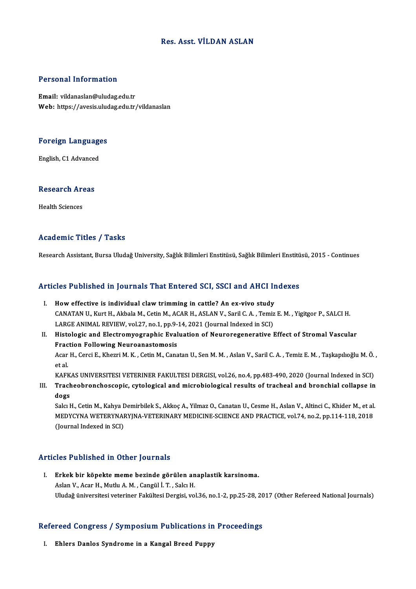### Res. Asst. VİLDAN ASLAN

### Personal Information

Email: vildanaslan@uludag.edu.tr Web: https://avesis.uludag.edu.tr/vildanaslan

## Foreign Languages <mark>Foreign Language</mark><br>English, C1 Advanced

## engusn, C1 Advanced<br>Research Areas R<mark>esearch Ar</mark><br>Health Sciences

# Academic Titles / Tasks

Research Assistant, Bursa Uludağ University, Sağlık Bilimleri Enstitüsü, Sağlık Bilimleri Enstitüsü, 2015 - Continues

# Research Assistant, bursa Uludag University, Saglik Billmieri Enstitusu, Saglik Billmieri Enstitu<br>Articles Published in Journals That Entered SCI, SSCI and AHCI Indexes

- rticles Published in Journals That Entered SCI, SSCI and AHCI In<br>I. How effective is individual claw trimming in cattle? An ex-vivo study<br>CANATAN IL Kurt H. Althala M. Cotin M. AGAR H. ASLAN V. Saril C. A. Tomiz I. How effective is individual claw trimming in cattle? An ex-vivo study<br>CANATAN U., Kurt H., Akbala M., Cetin M., ACAR H., ASLAN V., Saril C. A., Temiz E. M., Yigitgor P., SALCI H. How effective is individual claw trimming in cattle? An ex-vivo study<br>CANATAN U., Kurt H., Akbala M., Cetin M., ACAR H., ASLAN V., Saril C. A. , Temiz<br>LARGE ANIMAL REVIEW, vol.27, no.1, pp.9-14, 2021 (Journal Indexed in SC
- II. Histologic and Electromyographic Evaluation of Neuroregenerative Effect of Stromal Vascular<br>Fraction Following Neuroanastomosis LARGE ANIMAL REVIEW, vol.27, no.1, pp.9-<br>Histologic and Electromyographic Eval<br>Fraction Following Neuroanastomosis<br>Agar H. Cargi E. Kharri M. K., Catin M. Cana Histologic and Electromyographic Evaluation of Neuroregenerative Effect of Stromal Vascular<br>Fraction Following Neuroanastomosis<br>Acar H., Cerci E., Khezri M. K. , Cetin M., Canatan U., Sen M. M. , Aslan V., Saril C. A. , Te **Frac**<br>Acar<br>et al.<br>*v* ^ Fi Acar H., Cerci E., Khezri M. K. , Cetin M., Canatan U., Sen M. M. , Aslan V., Saril C. A. , Temiz E. M. , Taşkapılıoğlu M. Ö.<br>et al.<br>KAFKAS UNIVERSITESI VETERINER FAKULTESI DERGISI, vol.26, no.4, pp.483-490, 2020 (Journal

et al.<br>KAFKAS UNIVERSITESI VETERINER FAKULTESI DERGISI, vol.26, no.4, pp.483-490, 2020 (Journal Indexed in SCI)<br>III. Tracheobronchoscopic, cytological and microbiological results of tracheal and bronchial collapse in<br>d KAFKAS UNIVERSITESI VETERINER FAKULTESI DERGISI, vol.26, no.4, pp.483-490, 2020 (Journal Indexed in SCI)<br>Tracheobronchoscopic, cytological and microbiological results of tracheal and bronchial collapse in<br>dogs<br>Salcı H., Ce Tracheobronchoscopic, cytological and microbiological results of tracheal and bronchial collapse in<br>dogs<br>Salcı H., Cetin M., Kahya Demirbilek S., Akkoç A., Yilmaz O., Canatan U., Cesme H., Aslan V., Altinci C., Khider M.,

dogs<br>Salcı H., Cetin M., Kahya Demirbilek S., Akkoç A., Yilmaz O., Canatan U., Cesme H., Aslan V., Altinci C., Khider M., et al.<br>MEDYCYNA WETERYNARYJNA-VETERINARY MEDICINE-SCIENCE AND PRACTICE, vol.74, no.2, pp.114-118, 20 Salcı H., Cetin M., Kahya I<br>MEDYCYNA WETERYNAI<br>(Journal Indexed in SCI)

# (Journal Indexed in SCI)<br>Articles Published in Other Journals

I. Erkek bir köpekte meme bezinde görülen anaplastik karsinoma. Aslan V., Acar H., Mutlu A. M., Cangül İ. T., Salcı H. Uludağ üniversitesi veteriner Fakültesi Dergisi, vol.36, no.1-2, pp.25-28, 2017 (Other Refereed National Journals)

## oludag universitesi veteriner rakuitesi bergisi, vol.36, no.1-2, pp.25-28, 20<br>Refereed Congress / Symposium Publications in Proceedings efereed Congress / Symposium Publications in<br>I. Ehlers Danlos Syndrome in a Kangal Breed Puppy